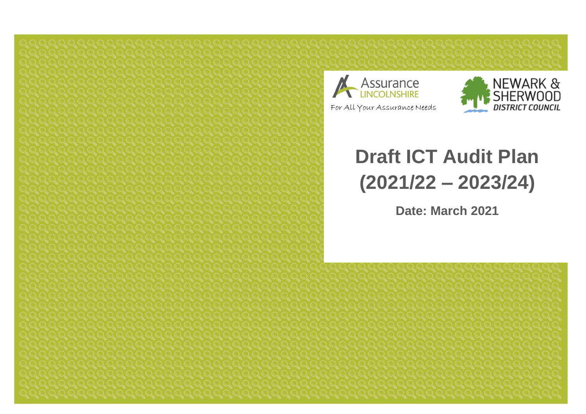



# **Draft ICT Audit Plan (2021/22 – 2023/24)**

**Date: March 2021**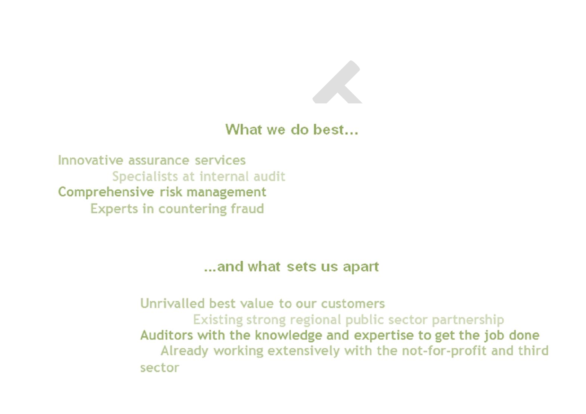

### What we do best...

Innovative assurance services Specialists at internal audit Comprehensive risk management **Experts in countering fraud** 

... and what sets us apart

Unrivalled best value to our customers Existing strong regional public sector partnership Auditors with the knowledge and expertise to get the job done Already working extensively with the not-for-profit and third sector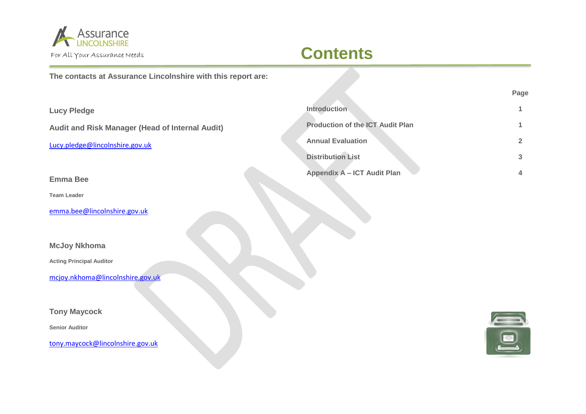

# **Contents**

#### **The contacts at Assurance Lincolnshire with this report are:**

| <b>Lucy Pledge</b>                                     | <b>Introduction</b>                     |  |
|--------------------------------------------------------|-----------------------------------------|--|
| <b>Audit and Risk Manager (Head of Internal Audit)</b> | <b>Production of the ICT Audit Plan</b> |  |
| Lucy.pledge@lincolnshire.gov.uk                        | <b>Annual Evaluation</b>                |  |
|                                                        | <b>Distribution List</b>                |  |
| <b>Emma Bee</b>                                        | Appendix A - ICT Audit Plan             |  |

**Page**

#### **Tony Maycock**

**McJoy Nkhoma**

**Acting Principal Auditor**

**Senior Auditor**

**Team Leader**

[tony.maycock@lincolnshire.gov.uk](mailto:tony.maycock@lincolnshire.gov.uk)

[mcjoy.nkhoma@lincolnshire.gov.uk](mailto:mcjoy.nkhoma@lincolnshire.gov.uk)

[emma.bee@lincolnshire.gov.uk](mailto:emma.bee@lincolnshire.gov.uk)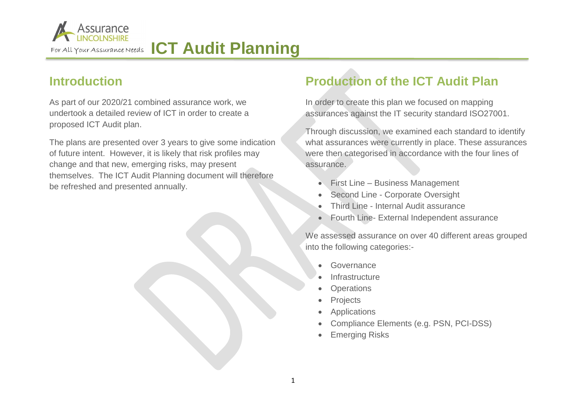

# For All Your Assurance Needs **ICT Audit Planning**

#### **Introduction**

As part of our 2020/21 combined assurance work, we undertook a detailed review of ICT in order to create a proposed ICT Audit plan.

The plans are presented over 3 years to give some indication of future intent. However, it is likely that risk profiles may change and that new, emerging risks, may present themselves. The ICT Audit Planning document will therefore be refreshed and presented annually.

### **Production of the ICT Audit Plan**

In order to create this plan we focused on mapping assurances against the IT security standard ISO27001.

Through discussion, we examined each standard to identify what assurances were currently in place. These assurances were then categorised in accordance with the four lines of assurance.

- **First Line Business Management**
- Second Line Corporate Oversight
- Third Line Internal Audit assurance
- Fourth Line- External Independent assurance

We assessed assurance on over 40 different areas grouped into the following categories:-

- **Governance**
- **Infrastructure**
- **Operations**
- Projects
- Applications
- Compliance Elements (e.g. PSN, PCI-DSS)
- Emerging Risks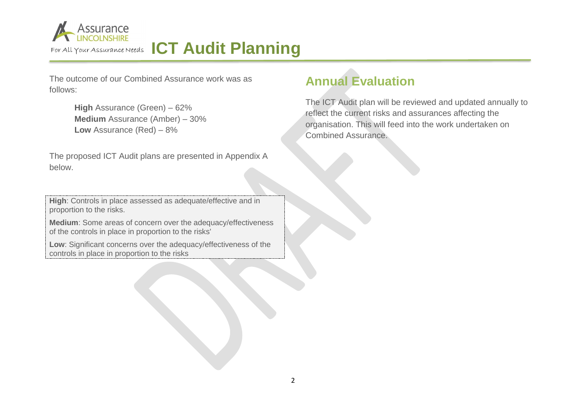

# For All Your Assurance Needs ICT Audit Planning

The outcome of our Combined Assurance work was as follows:

> **High** Assurance (Green) – 62% **Medium** Assurance (Amber) – 30% **Low** Assurance (Red) – 8%

The proposed ICT Audit plans are presented in Appendix A below.

**High**: Controls in place assessed as adequate/effective and in proportion to the risks.

**Medium**: Some areas of concern over the adequacy/effectiveness of the controls in place in proportion to the risks'

**Low**: Significant concerns over the adequacy/effectiveness of the controls in place in proportion to the risks

### **Annual Evaluation**

The ICT Audit plan will be reviewed and updated annually to reflect the current risks and assurances affecting the organisation. This will feed into the work undertaken on Combined Assurance.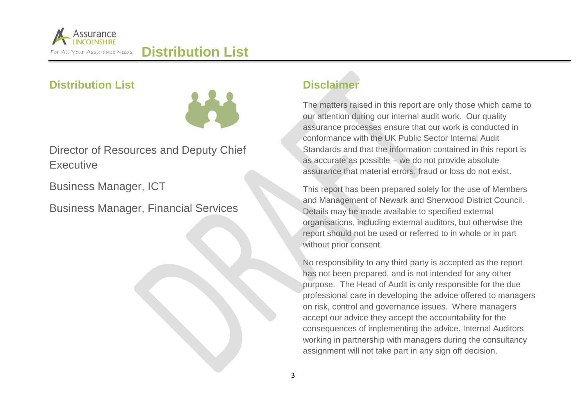

**Distribution List**

**Distribution List**



Director of Resources and Deputy Chief **Executive** 

Business Manager, ICT

Business Manager, Financial Services



#### **Disclaimer**

The matters raised in this report are only those which came to our attention during our internal audit work. Our quality assurance processes ensure that our work is conducted in conformance with the UK Public Sector Internal Audit Standards and that the information contained in this report is as accurate as possible – we do not provide absolute assurance that material errors, fraud or loss do not exist.

This report has been prepared solely for the use of Members and Management of Newark and Sherwood District Council. Details may be made available to specified external organisations, including external auditors, but otherwise the report should not be used or referred to in whole or in part without prior consent.

No responsibility to any third party is accepted as the report has not been prepared, and is not intended for any other purpose. The Head of Audit is only responsible for the due professional care in developing the advice offered to managers on risk, control and governance issues. Where managers accept our advice they accept the accountability for the consequences of implementing the advice. Internal Auditors working in partnership with managers during the consultancy assignment will not take part in any sign off decision.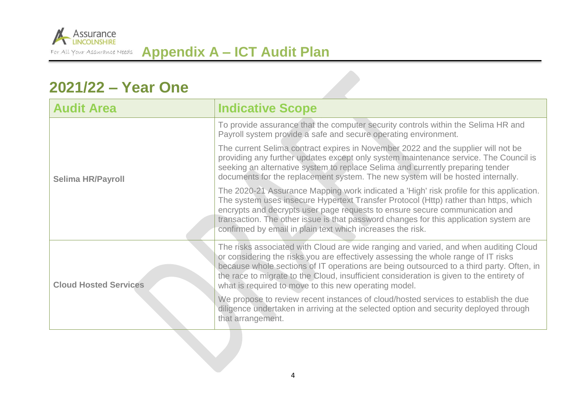

## **2021/22 – Year One**

| <b>Audit Area</b>            | <b>Indicative Scope</b>                                                                                                                                                                                                                                                                                                                                                                                                     |
|------------------------------|-----------------------------------------------------------------------------------------------------------------------------------------------------------------------------------------------------------------------------------------------------------------------------------------------------------------------------------------------------------------------------------------------------------------------------|
| <b>Selima HR/Payroll</b>     | To provide assurance that the computer security controls within the Selima HR and<br>Payroll system provide a safe and secure operating environment.                                                                                                                                                                                                                                                                        |
|                              | The current Selima contract expires in November 2022 and the supplier will not be<br>providing any further updates except only system maintenance service. The Council is<br>seeking an alternative system to replace Selima and currently preparing tender<br>documents for the replacement system. The new system will be hosted internally.                                                                              |
|                              | The 2020-21 Assurance Mapping work indicated a 'High' risk profile for this application.<br>The system uses insecure Hypertext Transfer Protocol (Http) rather than https, which<br>encrypts and decrypts user page requests to ensure secure communication and<br>transaction. The other issue is that password changes for this application system are<br>confirmed by email in plain text which increases the risk.      |
| <b>Cloud Hosted Services</b> | The risks associated with Cloud are wide ranging and varied, and when auditing Cloud<br>or considering the risks you are effectively assessing the whole range of IT risks<br>because whole sections of IT operations are being outsourced to a third party. Often, in<br>the race to migrate to the Cloud, insufficient consideration is given to the entirety of<br>what is required to move to this new operating model. |
|                              | We propose to review recent instances of cloud/hosted services to establish the due<br>diligence undertaken in arriving at the selected option and security deployed through<br>that arrangement.                                                                                                                                                                                                                           |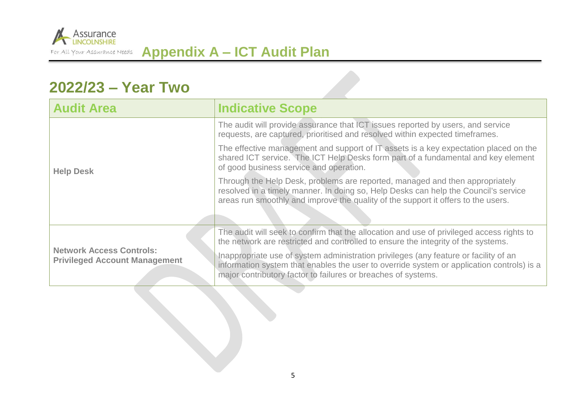

## **2022/23 – Year Two**

| <b>Audit Area</b>                                                       | <b>Indicative Scope</b>                                                                                                                                                                                                                                  |  |
|-------------------------------------------------------------------------|----------------------------------------------------------------------------------------------------------------------------------------------------------------------------------------------------------------------------------------------------------|--|
| <b>Help Desk</b>                                                        | The audit will provide assurance that ICT issues reported by users, and service<br>requests, are captured, prioritised and resolved within expected timeframes.                                                                                          |  |
|                                                                         | The effective management and support of IT assets is a key expectation placed on the<br>shared ICT service. The ICT Help Desks form part of a fundamental and key element<br>of good business service and operation.                                     |  |
|                                                                         | Through the Help Desk, problems are reported, managed and then appropriately<br>resolved in a timely manner. In doing so, Help Desks can help the Council's service<br>areas run smoothly and improve the quality of the support it offers to the users. |  |
| <b>Network Access Controls:</b><br><b>Privileged Account Management</b> | The audit will seek to confirm that the allocation and use of privileged access rights to                                                                                                                                                                |  |
|                                                                         | the network are restricted and controlled to ensure the integrity of the systems.                                                                                                                                                                        |  |
|                                                                         | Inappropriate use of system administration privileges (any feature or facility of an<br>information system that enables the user to override system or application controls) is a<br>major contributory factor to failures or breaches of systems.       |  |